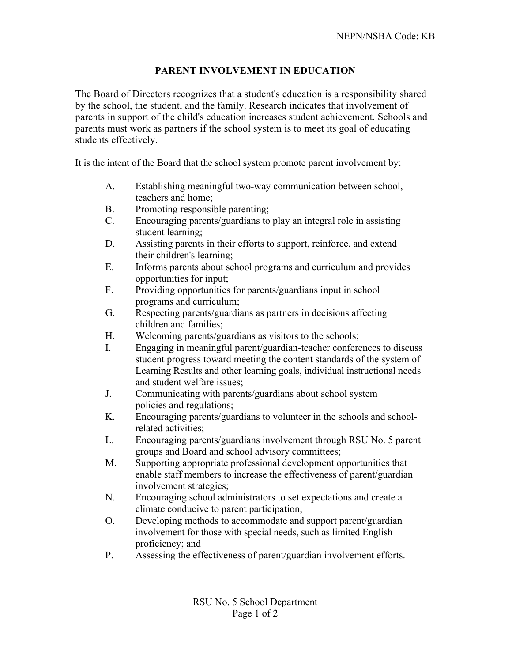## **PARENT INVOLVEMENT IN EDUCATION**

The Board of Directors recognizes that a student's education is a responsibility shared by the school, the student, and the family. Research indicates that involvement of parents in support of the child's education increases student achievement. Schools and parents must work as partners if the school system is to meet its goal of educating students effectively.

It is the intent of the Board that the school system promote parent involvement by:

- A. Establishing meaningful two-way communication between school, teachers and home;
- B. Promoting responsible parenting;
- C. Encouraging parents/guardians to play an integral role in assisting student learning;
- D. Assisting parents in their efforts to support, reinforce, and extend their children's learning;
- E. Informs parents about school programs and curriculum and provides opportunities for input;
- F. Providing opportunities for parents/guardians input in school programs and curriculum;
- G. Respecting parents/guardians as partners in decisions affecting children and families;
- H. Welcoming parents/guardians as visitors to the schools;
- I. Engaging in meaningful parent/guardian-teacher conferences to discuss student progress toward meeting the content standards of the system of Learning Results and other learning goals, individual instructional needs and student welfare issues;
- J. Communicating with parents/guardians about school system policies and regulations;
- K. Encouraging parents/guardians to volunteer in the schools and schoolrelated activities;
- L. Encouraging parents/guardians involvement through RSU No. 5 parent groups and Board and school advisory committees;
- M. Supporting appropriate professional development opportunities that enable staff members to increase the effectiveness of parent/guardian involvement strategies;
- N. Encouraging school administrators to set expectations and create a climate conducive to parent participation;
- O. Developing methods to accommodate and support parent/guardian involvement for those with special needs, such as limited English proficiency; and
- P. Assessing the effectiveness of parent/guardian involvement efforts.